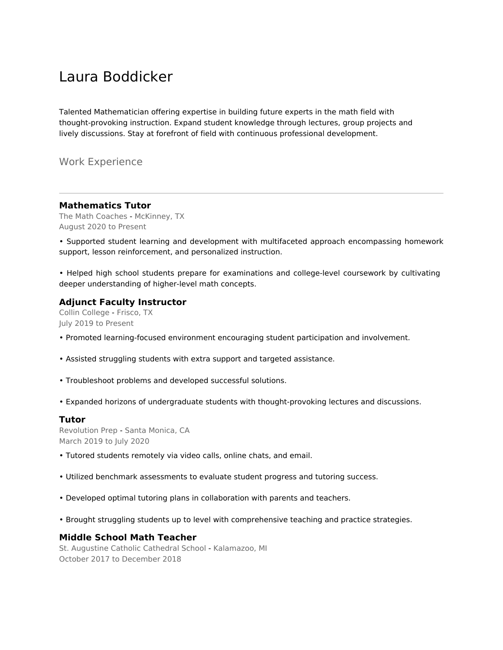# Laura Boddicker

Talented Mathematician offering expertise in building future experts in the math field with thought-provoking instruction. Expand student knowledge through lectures, group projects and lively discussions. Stay at forefront of field with continuous professional development.

Work Experience

#### **Mathematics Tutor**

The Math Coaches - McKinney, TX August 2020 to Present

• Supported student learning and development with multifaceted approach encompassing homework support, lesson reinforcement, and personalized instruction.

• Helped high school students prepare for examinations and college-level coursework by cultivating deeper understanding of higher-level math concepts.

#### **Adjunct Faculty Instructor**

Collin College - Frisco, TX July 2019 to Present

- Promoted learning-focused environment encouraging student participation and involvement.
- Assisted struggling students with extra support and targeted assistance.
- Troubleshoot problems and developed successful solutions.
- Expanded horizons of undergraduate students with thought-provoking lectures and discussions.

#### **Tutor**

Revolution Prep - Santa Monica, CA March 2019 to July 2020

- Tutored students remotely via video calls, online chats, and email.
- Utilized benchmark assessments to evaluate student progress and tutoring success.
- Developed optimal tutoring plans in collaboration with parents and teachers.
- Brought struggling students up to level with comprehensive teaching and practice strategies.

#### **Middle School Math Teacher**

St. Augustine Catholic Cathedral School - Kalamazoo, MI October 2017 to December 2018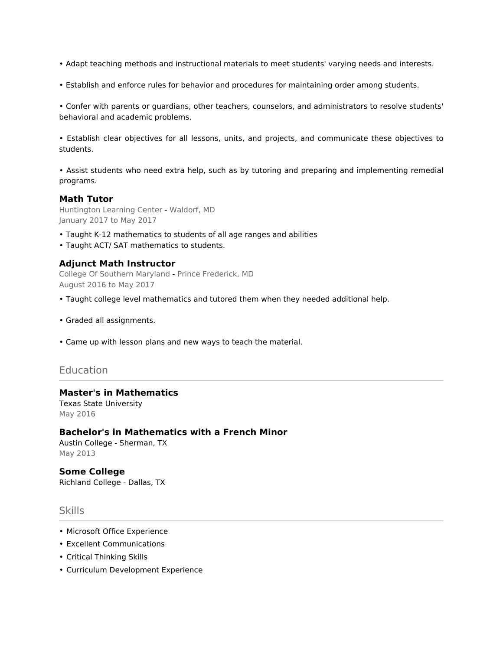- Adapt teaching methods and instructional materials to meet students' varying needs and interests.
- Establish and enforce rules for behavior and procedures for maintaining order among students.

• Confer with parents or guardians, other teachers, counselors, and administrators to resolve students' behavioral and academic problems.

• Establish clear objectives for all lessons, units, and projects, and communicate these objectives to students.

• Assist students who need extra help, such as by tutoring and preparing and implementing remedial programs.

#### **Math Tutor**

Huntington Learning Center - Waldorf, MD January 2017 to May 2017

- Taught K-12 mathematics to students of all age ranges and abilities
- Taught ACT/ SAT mathematics to students.

#### **Adjunct Math Instructor**

College Of Southern Maryland - Prince Frederick, MD August 2016 to May 2017

- Taught college level mathematics and tutored them when they needed additional help.
- Graded all assignments.
- Came up with lesson plans and new ways to teach the material.

### Education

## **Master's in Mathematics**

Texas State University May 2016

#### **Bachelor's in Mathematics with a French Minor**

Austin College - Sherman, TX May 2013

# **Some College**

Richland College - Dallas, TX

## Skills

- Microsoft Office Experience
- Excellent Communications
- Critical Thinking Skills
- Curriculum Development Experience